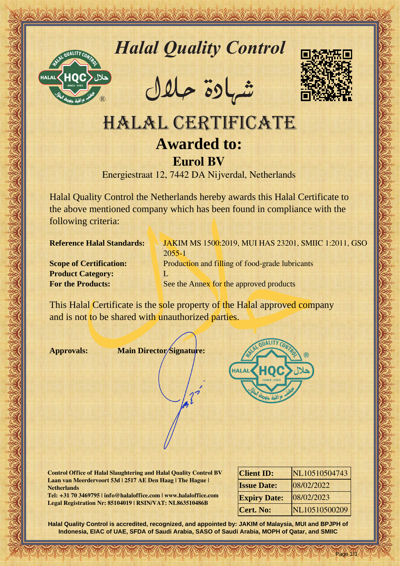

# *Halal Quality Control*

REACTOR AND THE REAL PROPERTY OF THE REAL PROPERTY

�شهادة حالل



# Hall Quality Control Department<br>
MALAL CERTIFICATE<br>
Awarded to:<br>
Europe Estate And Certificate Strategy wanted to:<br>
Europe Estate And Certificate Strategy wanted this hela Certificate to<br>
the above mentioned company which HALAL CERTIFICATE **Awarded to: Eurol BV**

Energiestraat 12, 7442 DA Nijverdal, Netherlands

Halal Quality Control the Netherlands hereby awards this Halal Certificate to the above mentioned company which has been found in compliance with the following criteria:

**Product Category:** L

**Reference Halal Standards: JAKIM MS 1500:2019, MUI HAS 23201, SMIIC 1:2011, GSO** 2055-1 **Scope of Certification:** Production and filling of food-grade lubricants **For the Products:** See the Annex for the approved products

This Halal Certificate is the sole property of the Halal approved company and is not to be shared with unauthorized parties.

**Approvals: Main Director Signature:**



**Control Office of Halal Slaughtering and Halal Quality Control BV Laan van Meerdervoort 53d | 2517 AE Den Haag | The Hague | Netherlands**

**Tel: +31 70 3469795 | info@halaloffice.com | www.halaloffice.com Legal Registration Nr: 85104019 | RSIN/VAT: NL863510486B**

| <b>Client ID:</b>   | NL10510504743 |
|---------------------|---------------|
| <b>Issue Date:</b>  | 08/02/2022    |
| <b>Expiry Date:</b> | 08/02/2023    |
| <b>Cert. No:</b>    | NL10510500209 |

Page 1/3

**Halal Quality Control is accredited, recognized, and appointed by: JAKIM of Malaysia, MUI and BPJPH of Indonesia, EIAC of UAE, SFDA of Saudi Arabia, SASO of Saudi Arabia, MOPH of Qatar, and SMIIC**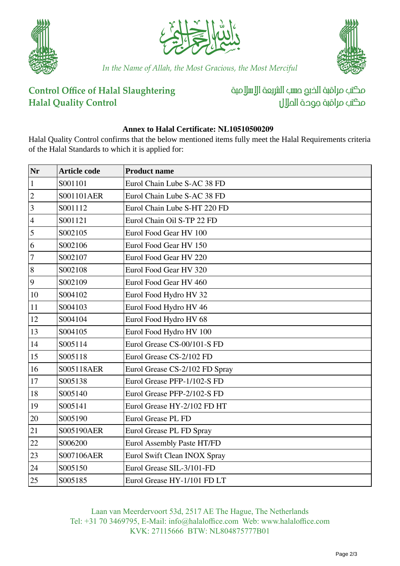





*In the Name of Allah, the Most Gracious, the Most Merciful*

## **Control Office of Halal Slaughtering Halal Quality Control**

مكتب مراقبة الذبم صسب الشريعة الإسلامية مكتب مراقبة جودة الملال

### **Annex to Halal Certificate: NL10510500209**

Halal Quality Control confirms that the below mentioned items fully meet the Halal Requirements criteria of the Halal Standards to which it is applied for:

| Nr                      | <b>Article code</b> | <b>Product name</b>            |
|-------------------------|---------------------|--------------------------------|
| $\mathbf{1}$            | S001101             | Eurol Chain Lube S-AC 38 FD    |
| $\overline{c}$          | S001101AER          | Eurol Chain Lube S-AC 38 FD    |
| $\overline{\mathbf{3}}$ | S001112             | Eurol Chain Lube S-HT 220 FD   |
| $\overline{4}$          | S001121             | Eurol Chain Oil S-TP 22 FD     |
| 5                       | S002105             | Eurol Food Gear HV 100         |
| 6                       | S002106             | Eurol Food Gear HV 150         |
| $\overline{7}$          | S002107             | Eurol Food Gear HV 220         |
| 8                       | S002108             | Eurol Food Gear HV 320         |
| 9                       | S002109             | Eurol Food Gear HV 460         |
| 10                      | S004102             | Eurol Food Hydro HV 32         |
| 11                      | S004103             | Eurol Food Hydro HV 46         |
| 12                      | S004104             | Eurol Food Hydro HV 68         |
| 13                      | S004105             | Eurol Food Hydro HV 100        |
| 14                      | S005114             | Eurol Grease CS-00/101-S FD    |
| 15                      | S005118             | Eurol Grease CS-2/102 FD       |
| 16                      | S005118AER          | Eurol Grease CS-2/102 FD Spray |
| 17                      | S005138             | Eurol Grease PFP-1/102-S FD    |
| 18                      | S005140             | Eurol Grease PFP-2/102-S FD    |
| 19                      | S005141             | Eurol Grease HY-2/102 FD HT    |
| 20                      | S005190             | Eurol Grease PL FD             |
| 21                      | S005190AER          | Eurol Grease PL FD Spray       |
| 22                      | S006200             | Eurol Assembly Paste HT/FD     |
| 23                      | S007106AER          | Eurol Swift Clean INOX Spray   |
| 24                      | S005150             | Eurol Grease SIL-3/101-FD      |
| 25                      | S005185             | Eurol Grease HY-1/101 FD LT    |

Laan van Meerdervoort 53d, 2517 AE The Hague, The Netherlands Tel: +31 70 3469795, E-Mail: info@halaloffice.com Web: www.halaloffice.com KVK: 27115666 BTW: NL804875777B01